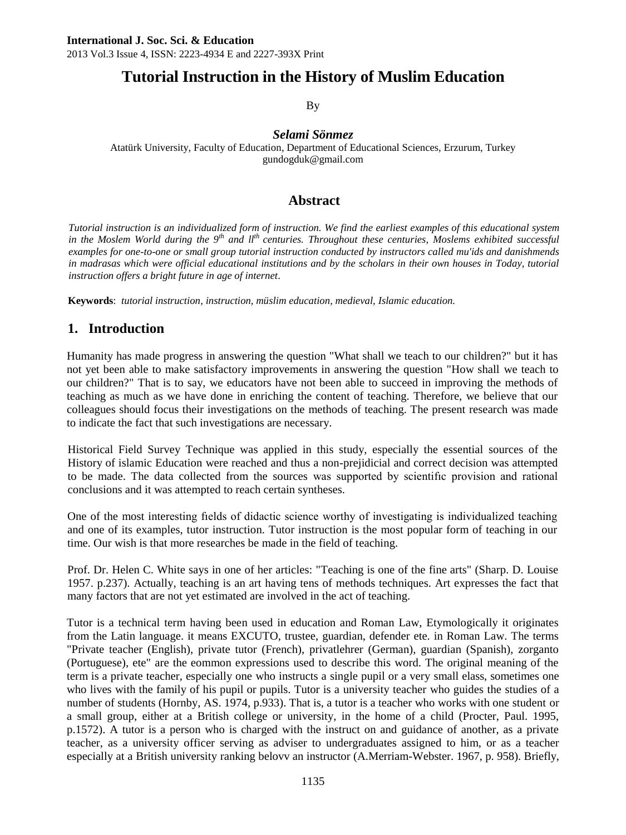# **Tutorial Instruction in the History of Muslim Education**

By

#### *Selami Sönmez*

Atatürk University, Faculty of Education, Department of Educational Sciences, Erzurum, Turkey gundogduk@gmail.com

## **Abstract**

*Tutorial instruction is an individualized form of instruction. We find the earliest examples of this educational system in the Moslem World during the 9th and llth centuries. Throughout these centuries, Moslems exhibited successful examples for one-to-one or small group tutorial instruction conducted by instructors called mu'ids and danishmends in madrasas which were official educational institutions and by the scholars in their own houses in Today, tutorial instruction offers a bright future in age of internet*.

**Keywords**: *tutorial instruction, instruction, müslim education, medieval, Islamic education.*

## **1. Introduction**

Humanity has made progress in answering the question "What shall we teach to our children?" but it has not yet been able to make satisfactory improvements in answering the question "How shall we teach to our children?" That is to say, we educators have not been able to succeed in improving the methods of teaching as much as we have done in enriching the content of teaching. Therefore, we believe that our colleagues should focus their investigations on the methods of teaching. The present research was made to indicate the fact that such investigations are necessary.

Historical Field Survey Technique was applied in this study, especially the essential sources of the History of islamic Education were reached and thus a non-prejidicial and correct decision was attempted to be made. The data collected from the sources was supported by scientifıc provision and rational conclusions and it was attempted to reach certain syntheses.

One of the most interesting fıelds of didactic science worthy of investigating is individualized teaching and one of its examples, tutor instruction. Tutor instruction is the most popular form of teaching in our time. Our wish is that more researches be made in the field of teaching.

Prof. Dr. Helen C. White says in one of her articles: "Teaching is one of the fine arts" (Sharp. D. Louise 1957. p.237). Actually, teaching is an art having tens of methods techniques. Art expresses the fact that many factors that are not yet estimated are involved in the act of teaching.

Tutor is a technical term having been used in education and Roman Law, Etymologically it originates from the Latin language. it means EXCUTO, trustee, guardian, defender ete. in Roman Law. The terms "Private teacher (English), private tutor (French), privatlehrer (German), guardian (Spanish), zorganto (Portuguese), ete" are the eommon expressions used to describe this word. The original meaning of the term is a private teacher, especially one who instructs a single pupil or a very small elass, sometimes one who lives with the family of his pupil or pupils. Tutor is a university teacher who guides the studies of a number of students (Hornby, AS. 1974, p.933). That is, a tutor is a teacher who works with one student or a small group, either at a British college or university, in the home of a child (Procter, Paul. 1995, p.1572). A tutor is a person who is charged with the instruct on and guidance of another, as a private teacher, as a university officer serving as adviser to undergraduates assigned to him, or as a teacher especially at a British university ranking belovv an instructor (A.Merriam-Webster. 1967, p. 958). Briefly,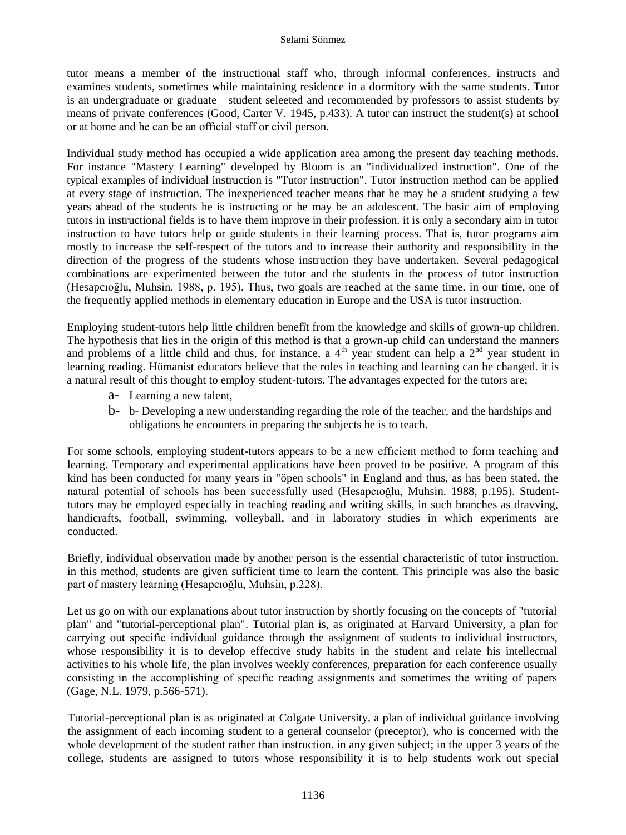tutor means a member of the instructional staff who, through informal conferences, instructs and examines students, sometimes while maintaining residence in a dormitory with the same students. Tutor is an undergraduate or graduate student seleeted and recommended by professors to assist students by means of private conferences (Good, Carter V. 1945, p.433). A tutor can instruct the student(s) at school or at home and he can be an offıcial staff or civil person.

Individual study method has occupied a wide application area among the present day teaching methods. For instance "Mastery Learning" developed by Bloom is an "individualized instruction". One of the typical examples of individual instruction is "Tutor instruction". Tutor instruction method can be applied at every stage of instruction. The inexperienced teacher means that he may be a student studying a few years ahead of the students he is instructing or he may be an adolescent. The basic aim of employing tutors in instructional fields is to have them improve in their profession. it is only a secondary aim in tutor instruction to have tutors help or guide students in their learning process. That is, tutor programs aim mostly to increase the self-respect of the tutors and to increase their authority and responsibility in the direction of the progress of the students whose instruction they have undertaken. Several pedagogical combinations are experimented between the tutor and the students in the process of tutor instruction (Hesapcıoğlu, Muhsin. 1988, p. 195). Thus, two goals are reached at the same time. in our time, one of the frequently applied methods in elementary education in Europe and the USA is tutor instruction.

Employing student-tutors help little children benefît from the knowledge and skills of grown-up children. The hypothesis that lies in the origin of this method is that a grown-up child can understand the manners and problems of a little child and thus, for instance, a  $4^{\text{th}}$  year student can help a  $2^{\text{nd}}$  year student in learning reading. Hümanist educators believe that the roles in teaching and learning can be changed. it is a natural result of this thought to employ student-tutors. The advantages expected for the tutors are;

- a- Learning a new talent,
- b- b- Developing a new understanding regarding the role of the teacher, and the hardships and obligations he encounters in preparing the subjects he is to teach.

For some schools, employing student-tutors appears to be a new effıcient method to form teaching and learning. Temporary and experimental applications have been proved to be positive. A program of this kind has been conducted for many years in "öpen schools" in England and thus, as has been stated, the natural potential of schools has been successfully used (Hesapcıoğlu, Muhsin. 1988, p.195). Studenttutors may be employed especially in teaching reading and writing skills, in such branches as dravving, handicrafts, football, swimming, volleyball, and in laboratory studies in which experiments are conducted.

Briefly, individual observation made by another person is the essential characteristic of tutor instruction. in this method, students are given sufficient time to learn the content. This principle was also the basic part of mastery learning (Hesapcıoğlu, Muhsin, p.228).

Let us go on with our explanations about tutor instruction by shortly focusing on the concepts of "tutorial plan" and "tutorial-perceptional plan". Tutorial plan is, as originated at Harvard University, a plan for carrying out specifıc individual guidance through the assignment of students to individual instructors, whose responsibility it is to develop effective study habits in the student and relate his intellectual activities to his whole life, the plan involves weekly conferences, preparation for each conference usually consisting in the accomplishing of specifıc reading assignments and sometimes the writing of papers (Gage, N.L. 1979, p.566-571).

Tutorial-perceptional plan is as originated at Colgate University, a plan of individual guidance involving the assignment of each incoming student to a general counselor (preceptor), who is concerned with the whole development of the student rather than instruction. in any given subject; in the upper 3 years of the college, students are assigned to tutors whose responsibility it is to help students work out special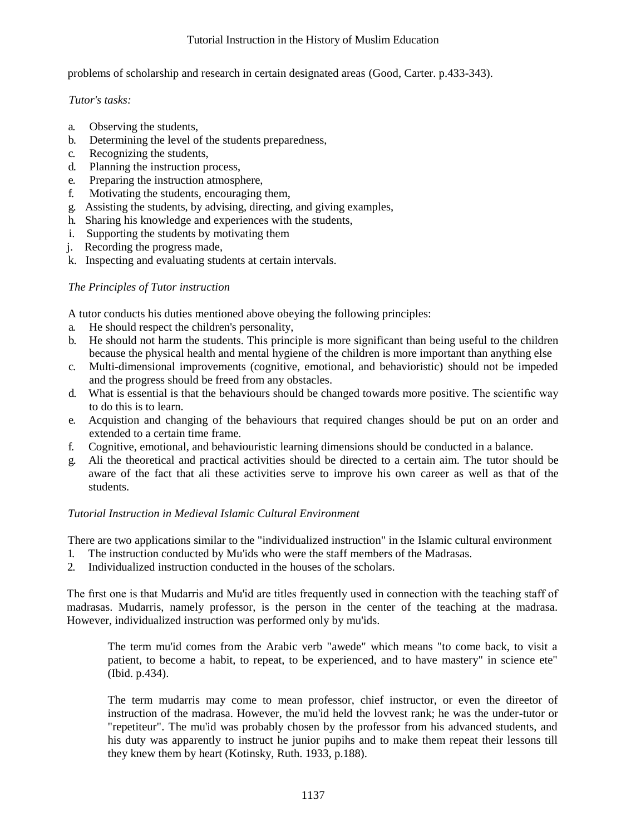#### Tutorial Instruction in the History of Muslim Education

problems of scholarship and research in certain designated areas (Good, Carter. p.433-343).

*Tutor's tasks:*

- a. Observing the students,
- b. Determining the level of the students preparedness,
- c. Recognizing the students,
- d. Planning the instruction process,
- e. Preparing the instruction atmosphere,
- f. Motivating the students, encouraging them,
- g. Assisting the students, by advising, directing, and giving examples,
- h. Sharing his knowledge and experiences with the students,
- i. Supporting the students by motivating them
- j. Recording the progress made,
- k. Inspecting and evaluating students at certain intervals.

#### *The Principles of Tutor instruction*

A tutor conducts his duties mentioned above obeying the following principles:

- a. He should respect the children's personality,
- b. He should not harm the students. This principle is more significant than being useful to the children because the physical health and mental hygiene of the children is more important than anything else
- c. Multi-dimensional improvements (cognitive, emotional, and behavioristic) should not be impeded and the progress should be freed from any obstacles.
- d. What is essential is that the behaviours should be changed towards more positive. The scientifıc way to do this is to learn.
- e. Acquistion and changing of the behaviours that required changes should be put on an order and extended to a certain time frame.
- f. Cognitive, emotional, and behaviouristic learning dimensions should be conducted in a balance.
- g. Ali the theoretical and practical activities should be directed to a certain aim. The tutor should be aware of the fact that ali these activities serve to improve his own career as well as that of the students.

#### *Tutorial Instruction in Medieval Islamic Cultural Environment*

There are two applications similar to the "individualized instruction" in the Islamic cultural environment

- 1. The instruction conducted by Mu'ids who were the staff members of the Madrasas.
- 2. Individualized instruction conducted in the houses of the scholars.

The fırst one is that Mudarris and Mu'id are titles frequently used in connection with the teaching staff of madrasas. Mudarris, namely professor, is the person in the center of the teaching at the madrasa. However, individualized instruction was performed only by mu'ids.

The term mu'id comes from the Arabic verb "awede" which means "to come back, to visit a patient, to become a habit, to repeat, to be experienced, and to have mastery" in science ete" (Ibid. p.434).

The term mudarris may come to mean professor, chief instructor, or even the direetor of instruction of the madrasa. However, the mu'id held the lovvest rank; he was the under-tutor or "repetiteur". The mu'id was probably chosen by the professor from his advanced students, and his duty was apparently to instruct he junior pupihs and to make them repeat their lessons till they knew them by heart (Kotinsky, Ruth. 1933, p.188).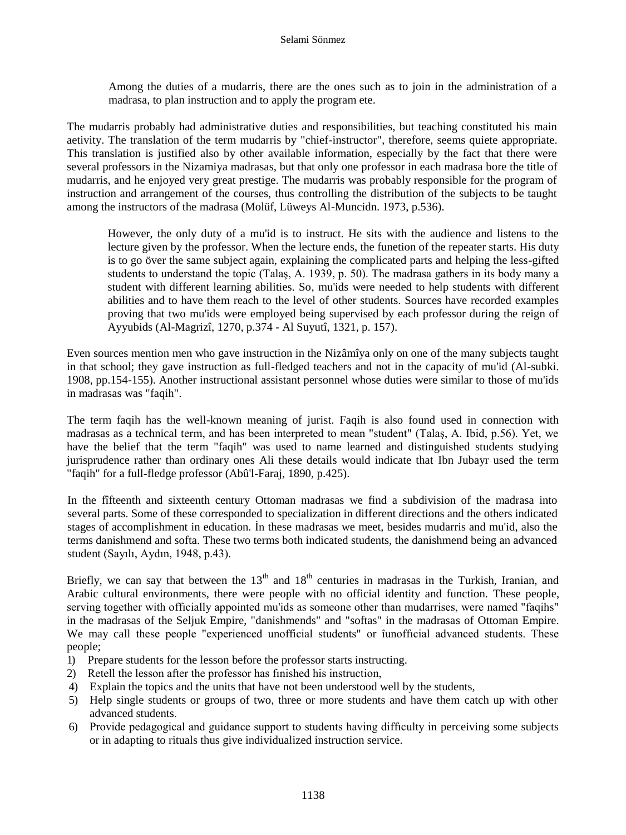Among the duties of a mudarris, there are the ones such as to join in the administration of a madrasa, to plan instruction and to apply the program ete.

The mudarris probably had administrative duties and responsibilities, but teaching constituted his main aetivity. The translation of the term mudarris by "chief-instructor", therefore, seems quiete appropriate. This translation is justified also by other available information, especially by the fact that there were several professors in the Nizamiya madrasas, but that only one professor in each madrasa bore the title of mudarris, and he enjoyed very great prestige. The mudarris was probably responsible for the program of instruction and arrangement of the courses, thus controlling the distribution of the subjects to be taught among the instructors of the madrasa (Molüf, Lüweys Al-Muncidn. 1973, p.536).

However, the only duty of a mu'id is to instruct. He sits with the audience and listens to the lecture given by the professor. When the lecture ends, the funetion of the repeater starts. His duty is to go över the same subject again, explaining the complicated parts and helping the less-gifted students to understand the topic (Talaş, A. 1939, p. 50). The madrasa gathers in its body many a student with different learning abilities. So, mu'ids were needed to help students with different abilities and to have them reach to the level of other students. Sources have recorded examples proving that two mu'ids were employed being supervised by each professor during the reign of Ayyubids (Al-Magrizî, 1270, p.374 - Al Suyutî, 1321, p. 157).

Even sources mention men who gave instruction in the Nizâmîya only on one of the many subjects taught in that school; they gave instruction as full-fledged teachers and not in the capacity of mu'id (Al-subki. 1908, pp.154-155). Another instructional assistant personnel whose duties were similar to those of mu'ids in madrasas was "faqih".

The term faqih has the well-known meaning of jurist. Faqih is also found used in connection with madrasas as a technical term, and has been interpreted to mean "student" (Talaş, A. Ibid, p.56). Yet, we have the belief that the term "faqih" was used to name learned and distinguished students studying jurisprudence rather than ordinary ones Ali these details would indicate that Ibn Jubayr used the term "faqih" for a full-fledge professor (Abû'l-Faraj, 1890, p.425).

In the fîfteenth and sixteenth century Ottoman madrasas we find a subdivision of the madrasa into several parts. Some of these corresponded to specialization in different directions and the others indicated stages of accomplishment in education. İn these madrasas we meet, besides mudarris and mu'id, also the terms danishmend and softa. These two terms both indicated students, the danishmend being an advanced student (Sayılı, Aydın, 1948, p.43).

Briefly, we can say that between the  $13<sup>th</sup>$  and  $18<sup>th</sup>$  centuries in madrasas in the Turkish, Iranian, and Arabic cultural environments, there were people with no official identity and function. These people, serving together with officially appointed mu'ids as someone other than mudarrises, were named "faqihs" in the madrasas of the Seljuk Empire, "danishmends" and "softas" in the madrasas of Ottoman Empire. We may call these people "experienced unofficial students" or îunoffıcial advanced students. These people;

- 1) Prepare students for the lesson before the professor starts instructing.
- 2) Retell the lesson after the professor has fınished his instruction,
- 4) Explain the topics and the units that have not been understood well by the students,
- 5) Help single students or groups of two, three or more students and have them catch up with other advanced students.
- 6) Provide pedagogical and guidance support to students having diffıculty in perceiving some subjects or in adapting to rituals thus give individualized instruction service.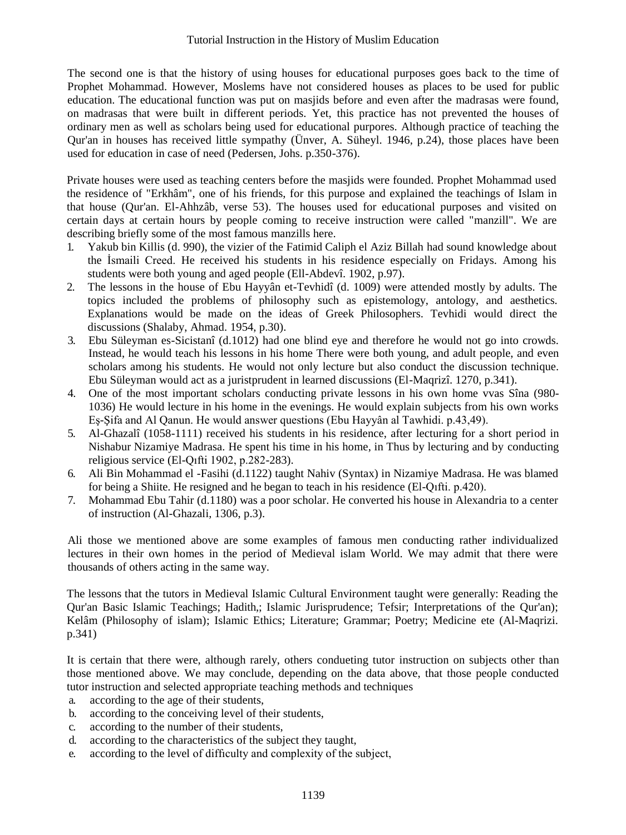The second one is that the history of using houses for educational purposes goes back to the time of Prophet Mohammad. However, Moslems have not considered houses as places to be used for public education. The educational function was put on masjids before and even after the madrasas were found, on madrasas that were built in different periods. Yet, this practice has not prevented the houses of ordinary men as well as scholars being used for educational purpores. Although practice of teaching the Qur'an in houses has received little sympathy (Ünver, A. Süheyl. 1946, p.24), those places have been used for education in case of need (Pedersen, Johs. p.350-376).

Private houses were used as teaching centers before the masjids were founded. Prophet Mohammad used the residence of "Erkhâm", one of his friends, for this purpose and explained the teachings of Islam in that house (Qur'an. El-Ahhzâb, verse 53). The houses used for educational purposes and visited on certain days at certain hours by people coming to receive instruction were called "manzill". We are describing briefly some of the most famous manzills here.

- 1. Yakub bin Killis (d. 990), the vizier of the Fatimid Caliph el Aziz Billah had sound knowledge about the İsmaili Creed. He received his students in his residence especially on Fridays. Among his students were both young and aged people (Ell-Abdevî. 1902, p.97).
- 2. The lessons in the house of Ebu Hayyân et-Tevhidî (d. 1009) were attended mostly by adults. The topics included the problems of philosophy such as epistemology, antology, and aesthetics. Explanations would be made on the ideas of Greek Philosophers. Tevhidi would direct the discussions (Shalaby, Ahmad. 1954, p.30).
- 3. Ebu Süleyman es-Sicistanî (d.1012) had one blind eye and therefore he would not go into crowds. Instead, he would teach his lessons in his home There were both young, and adult people, and even scholars among his students. He would not only lecture but also conduct the discussion technique. Ebu Süleyman would act as a juristprudent in learned discussions (El-Maqrizî. 1270, p.341).
- 4. One of the most important scholars conducting private lessons in his own home vvas Sîna (980- 1036) He would lecture in his home in the evenings. He would explain subjects from his own works Eş-Şifa and Al Qanun. He would answer questions (Ebu Hayyân al Tawhidi. p.43,49).
- 5. Al-Ghazalî (1058-1111) received his students in his residence, after lecturing for a short period in Nishabur Nizamiye Madrasa. He spent his time in his home, in Thus by lecturing and by conducting religious service (El-Qıfti 1902, p.282-283).
- 6. Ali Bin Mohammad el -Fasihi (d.1122) taught Nahiv (Syntax) in Nizamiye Madrasa. He was blamed for being a Shiite. He resigned and he began to teach in his residence (El-Qıfti. p.420).
- 7. Mohammad Ebu Tahir (d.1180) was a poor scholar. He converted his house in Alexandria to a center of instruction (Al-Ghazali, 1306, p.3).

Ali those we mentioned above are some examples of famous men conducting rather individualized lectures in their own homes in the period of Medieval islam World. We may admit that there were thousands of others acting in the same way.

The lessons that the tutors in Medieval Islamic Cultural Environment taught were generally: Reading the Qur'an Basic Islamic Teachings; Hadith,; Islamic Jurisprudence; Tefsir; Interpretations of the Qur'an); Kelâm (Philosophy of islam); Islamic Ethics; Literature; Grammar; Poetry; Medicine ete (Al-Maqrizi. p.341)

It is certain that there were, although rarely, others condueting tutor instruction on subjects other than those mentioned above. We may conclude, depending on the data above, that those people conducted tutor instruction and selected appropriate teaching methods and techniques

- a. according to the age of their students,
- b. according to the conceiving level of their students,
- c. according to the number of their students,
- d. according to the characteristics of the subject they taught,
- e. according to the level of diffıculty and complexity of the subject,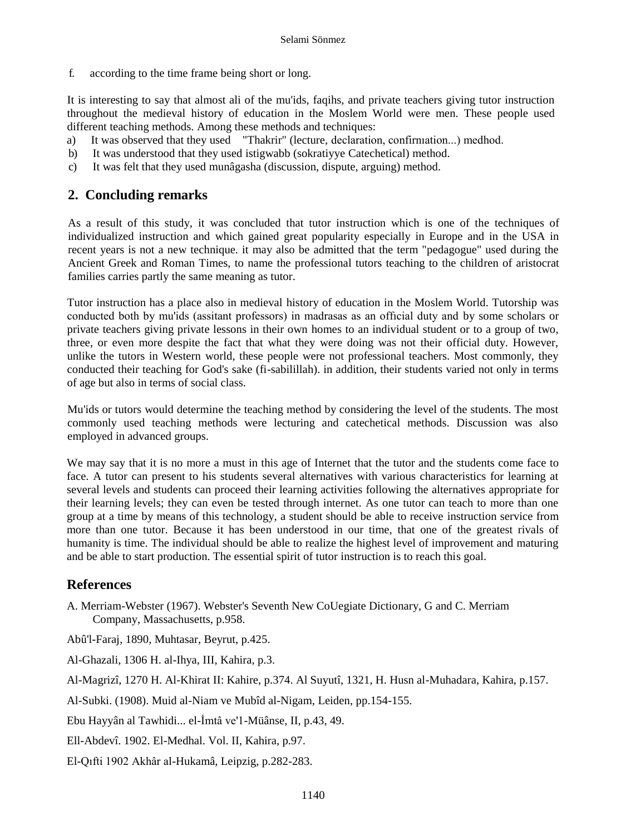f. according to the time frame being short or long.

It is interesting to say that almost ali of the mu'ids, faqihs, and private teachers giving tutor instruction throughout the medieval history of education in the Moslem World were men. These people used different teaching methods. Among these methods and techniques:

- a) It was observed that they used "Thakrir" (lecture, declaration, confirnıation...) medhod.
- b) It was understood that they used istigwabb (sokratiyye Catechetical) method.
- c) It was felt that they used munâgasha (discussion, dispute, arguing) method.

## **2. Concluding remarks**

As a result of this study, it was concluded that tutor instruction which is one of the techniques of individualized instruction and which gained great popularity especially in Europe and in the USA in recent years is not a new technique. it may also be admitted that the term "pedagogue" used during the Ancient Greek and Roman Times, to name the professional tutors teaching to the children of aristocrat families carries partly the same meaning as tutor.

Tutor instruction has a place also in medieval history of education in the Moslem World. Tutorship was conducted both by mu'ids (assitant professors) in madrasas as an offıcial duty and by some scholars or private teachers giving private lessons in their own homes to an individual student or to a group of two, three, or even more despite the fact that what they were doing was not their official duty. However, unlike the tutors in Western world, these people were not professional teachers. Most commonly, they conducted their teaching for God's sake (fi-sabilillah). in addition, their students varied not only in terms of age but also in terms of social class.

Mu'ids or tutors would determine the teaching method by considering the level of the students. The most commonly used teaching methods were lecturing and catechetical methods. Discussion was also employed in advanced groups.

We may say that it is no more a must in this age of Internet that the tutor and the students come face to face. A tutor can present to his students several alternatives with various characteristics for learning at several levels and students can proceed their learning activities following the alternatives appropriate for their learning levels; they can even be tested through internet. As one tutor can teach to more than one group at a time by means of this technology, a student should be able to receive instruction service from more than one tutor. Because it has been understood in our time, that one of the greatest rivals of humanity is time. The individual should be able to realize the highest level of improvement and maturing and be able to start production. The essential spirit of tutor instruction is to reach this goal.

# **References**

A. Merriam-Webster (1967). Webster's Seventh New CoUegiate Dictionary, G and C. Merriam Company, Massachusetts, p.958.

Abû'l-Faraj, 1890, Muhtasar, Beyrut, p.425.

Al-Ghazali, 1306 H. al-Ihya, III, Kahira, p.3.

Al-Magrizî, 1270 H. Al-Khirat II: Kahire, p.374. Al Suyutî, 1321, H. Husn al-Muhadara, Kahira, p.157.

Al-Subki. (1908). Muid al-Niam ve Mubîd al-Nigam, Leiden, pp.154-155.

Ebu Hayyân al Tawhidi... el-İmtâ ve'1-Müânse, II, p.43, 49.

Ell-Abdevî. 1902. El-Medhal. Vol. II, Kahira, p.97.

El-Qıfti 1902 Akhâr al-Hukamâ, Leipzig, p.282-283.